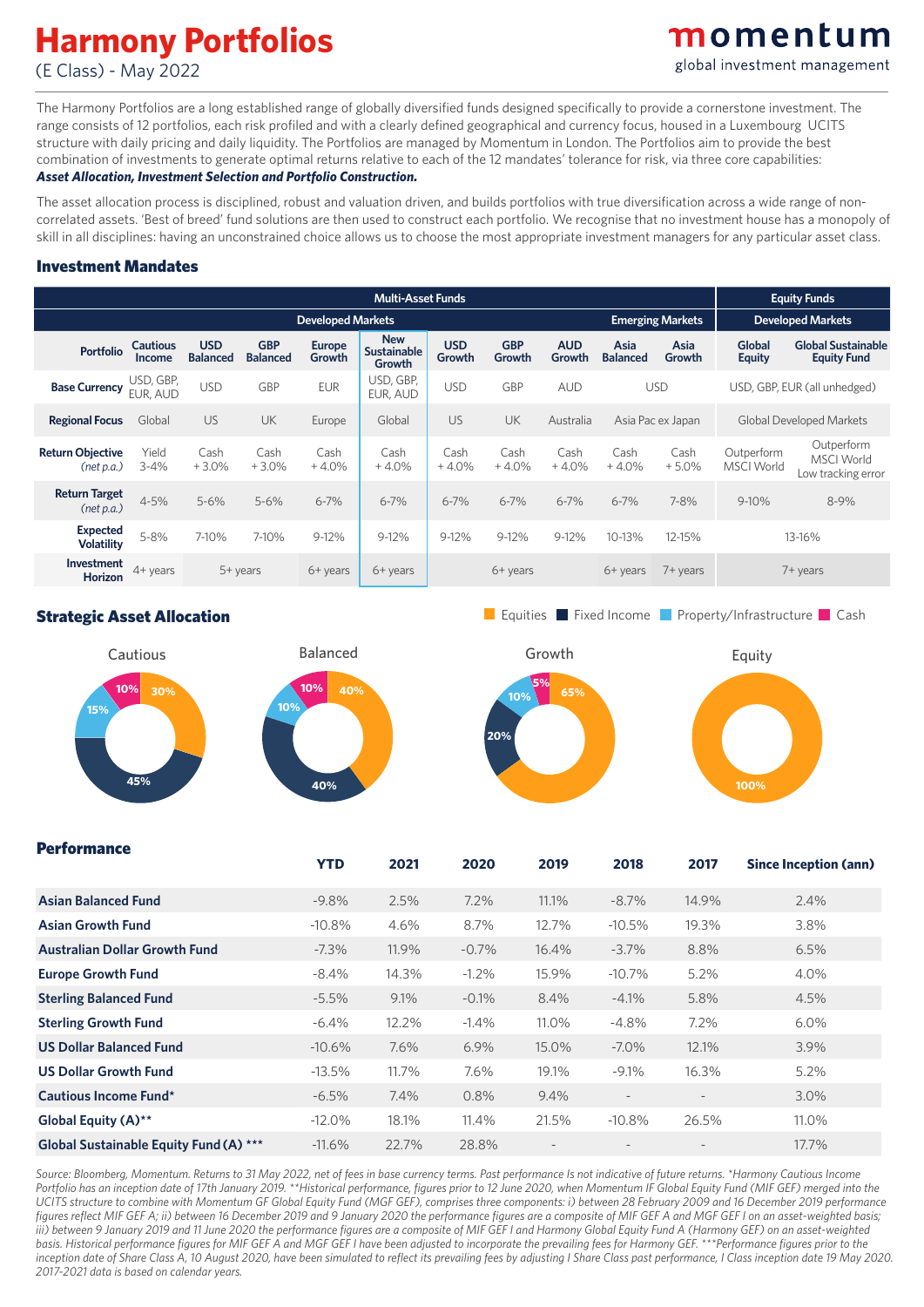## **Harmony Portfolios**

(E Class) - May 2022

The Harmony Portfolios are a long established range of globally diversified funds designed specifically to provide a cornerstone investment. The range consists of 12 portfolios, each risk profiled and with a clearly defined geographical and currency focus, housed in a Luxembourg UCITS structure with daily pricing and daily liquidity. The Portfolios are managed by Momentum in London. The Portfolios aim to provide the best combination of investments to generate optimal returns relative to each of the 12 mandates' tolerance for risk, via three core capabilities: *Asset Allocation, Investment Selection and Portfolio Construction.* 

# The asset allocation process is disciplined, robust and valuation driven, and builds portfolios with true diversification across a wide range of non-

correlated assets. 'Best of breed' fund solutions are then used to construct each portfolio. We recognise that no investment house has a monopoly of skill in all disciplines: having an unconstrained choice allows us to choose the most appropriate investment managers for any particular asset class.

## Investment Mandates

| <b>Multi-Asset Funds</b>              |                                  |                               |                               |                                |                                            |                      |                      |                      | <b>Equity Funds</b>     |                 |                                 |                                                       |
|---------------------------------------|----------------------------------|-------------------------------|-------------------------------|--------------------------------|--------------------------------------------|----------------------|----------------------|----------------------|-------------------------|-----------------|---------------------------------|-------------------------------------------------------|
|                                       | <b>Developed Markets</b>         |                               |                               |                                |                                            |                      |                      |                      | <b>Emerging Markets</b> |                 | <b>Developed Markets</b>        |                                                       |
| <b>Portfolio</b>                      | <b>Cautious</b><br><b>Income</b> | <b>USD</b><br><b>Balanced</b> | <b>GBP</b><br><b>Balanced</b> | <b>Europe</b><br><b>Growth</b> | <b>New</b><br><b>Sustainable</b><br>Growth | <b>USD</b><br>Growth | <b>GBP</b><br>Growth | <b>AUD</b><br>Growth | Asia<br><b>Balanced</b> | Asia<br>Growth  | Global<br><b>Equity</b>         | <b>Global Sustainable</b><br><b>Equity Fund</b>       |
| <b>Base Currency</b>                  | USD, GBP,<br>EUR, AUD            | <b>USD</b>                    | GBP                           | <b>EUR</b>                     | USD, GBP,<br>EUR, AUD                      | <b>USD</b>           | GBP                  | <b>AUD</b>           |                         | <b>USD</b>      |                                 | USD, GBP, EUR (all unhedged)                          |
| <b>Regional Focus</b>                 | Global                           | <b>US</b>                     | UK                            | Europe                         | Global                                     | US                   | UK                   | Australia            | Asia Pac ex Japan       |                 | Global Developed Markets        |                                                       |
| <b>Return Objective</b><br>(net p.a.) | Yield<br>$3 - 4%$                | Cash<br>$+3.0%$               | Cash<br>$+3.0%$               | Cash<br>$+4.0%$                | Cash<br>$+4.0%$                            | Cash<br>$+4.0%$      | Cash<br>$+4.0%$      | Cash<br>$+4.0%$      | Cash<br>$+4.0%$         | Cash<br>$+5.0%$ | Outperform<br><b>MSCI</b> World | Outperform<br><b>MSCI</b> World<br>Low tracking error |
| <b>Return Target</b><br>(net p.a.)    | 4-5%                             | $5 - 6%$                      | $5 - 6%$                      | $6 - 7%$                       | $6 - 7%$                                   | $6 - 7%$             | $6 - 7%$             | $6 - 7%$             | $6 - 7%$                | 7-8%            | $9 - 10%$                       | $8 - 9%$                                              |
| <b>Expected</b><br><b>Volatility</b>  | 5-8%                             | 7-10%                         | 7-10%                         | $9 - 12%$                      | $9 - 12%$                                  | $9 - 12%$            | $9 - 12%$            | $9 - 12%$            | 10-13%                  | 12-15%          |                                 | 13-16%                                                |
| <b>Investment</b><br>Horizon          | 4+ years                         |                               | 5+ years                      | 6+ years                       | $6 + \gamma$ ears                          |                      | 6+ years             |                      | $6+$ years              | 7+ years        |                                 | 7+ years                                              |

Strategic Asset Allocation **Exercise Fixed Income Property/Infrastructure Cash** Cash



| <b>YTD</b> | 2021  | 2020     | 2019                     | 2018                     | 2017                     | Since Inception (ann) |
|------------|-------|----------|--------------------------|--------------------------|--------------------------|-----------------------|
| $-9.8\%$   | 2.5%  | 7.2%     | 11.1%                    | $-8.7\%$                 | 14.9%                    | $2.4\%$               |
| $-10.8\%$  | 4.6%  | 8.7%     | 12.7%                    | $-10.5\%$                | 19.3%                    | 3.8%                  |
| $-7.3\%$   | 11.9% | $-0.7\%$ | 16.4%                    | $-3.7\%$                 | 8.8%                     | 6.5%                  |
| -8.4%      | 14.3% | $-1.2\%$ | 15.9%                    | $-10.7\%$                | 5.2%                     | 4.0%                  |
| $-5.5\%$   | 9.1%  | $-0.1\%$ | 8.4%                     | $-4.1\%$                 | 5.8%                     | 4.5%                  |
| $-6.4\%$   | 12.2% | $-1.4\%$ | 11.0%                    | $-4.8%$                  | 7.2%                     | $6.0\%$               |
| $-10.6%$   | 7.6%  | $6.9\%$  | 15.0%                    | $-7.0\%$                 | 12.1%                    | $3.9\%$               |
| $-13.5%$   | 11.7% | 7.6%     | 19.1%                    | $-9.1\%$                 | 16.3%                    | 5.2%                  |
| $-6.5\%$   | 7.4%  | $0.8\%$  | 9.4%                     | $\sim$                   | $\overline{\phantom{a}}$ | $3.0\%$               |
| $-12.0%$   | 18.1% | 11.4%    | 21.5%                    | $-10.8%$                 | 26.5%                    | 11.0%                 |
| $-11.6\%$  | 22.7% | 28.8%    | $\overline{\phantom{a}}$ | $\overline{\phantom{a}}$ | $\overline{\phantom{a}}$ | 17.7%                 |
|            |       |          |                          |                          |                          |                       |

Source: Bloomberg, Momentum. Returns to 31 May 2022, net of fees in base currency terms. Past performance Is not indicative of future returns. \*Harmony Cautious Income Portfolio has an inception date of 17th January 2019. \*\*Historical performance, figures prior to 12 June 2020, when Momentum IF Global Equity Fund (MIF GEF) merged into the *UCITS structure to combine with Momentum GF Global Equity Fund (MGF GEF), comprises three components: i) between 28 February 2009 and 16 December 2019 performance figures reflect MIF GEF A; ii) between 16 December 2019 and 9 January 2020 the performance figures are a composite of MIF GEF A and MGF GEF I on an asset-weighted basis; iii) between 9 January 2019 and 11 June 2020 the performance figures are a composite of MIF GEF I and Harmony Global Equity Fund A (Harmony GEF) on an asset-weighted basis. Historical performance figures for MIF GEF A and MGF GEF I have been adjusted to incorporate the prevailing fees for Harmony GEF. \*\*\*Performance figures prior to the* inception date of Share Class A, 10 August 2020, have been simulated to reflect its prevailing fees by adjusting I Share Class past performance, I Class inception date 19 May 2020. *2017-2021 data is based on calendar years.*